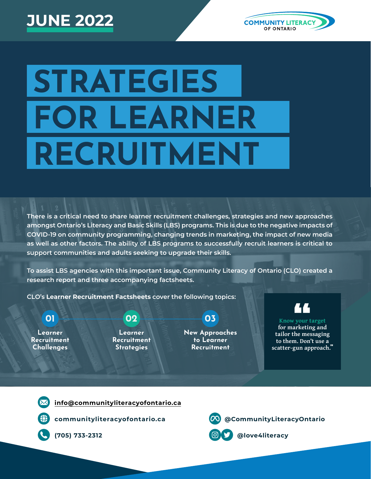# **JUNE 2022**



# **STRATEGIES FOR LEARNER RECRUITMENT**

**There is a critical need to share learner recruitment challenges, strategies and new approaches amongst Ontario's Literacy and Basic Skills (LBS) programs. This is due to the negative impacts of COVID-19 on community programming, changing trends in marketing, the impact of new media as well as other factors. The ability of LBS programs to successfully recruit learners is critical to support communities and adults seeking to upgrade their skills.**

**To assist LBS agencies with this important issue, Community Literacy of Ontario (CLO) created a research report and three accompanying factsheets.**

**CLO's Learner Recruitment Factsheets cover the following topics:**

**Learner Recruitment Challenges**

#### **Learner Recruitment Strategies**

**01 02 03**

**New Approaches to Learner Recruitment**



#### **Know your target**

**the messaging and the messaging to them.** Don't use a **for marketing and to them. Don't use a scatter-gun approach.**"

**[info@communityliteracyofontario.ca](mailto:info@communityliteracyofontario.ca)**

**[communityliteracyofontario.ca](http://www.communityliteracyofontario.ca) [@CommunityLiteracyOntario](https://www.facebook.com/CommunityLiteracyOntario/)**



**(705) 733-2312 @love4literacy**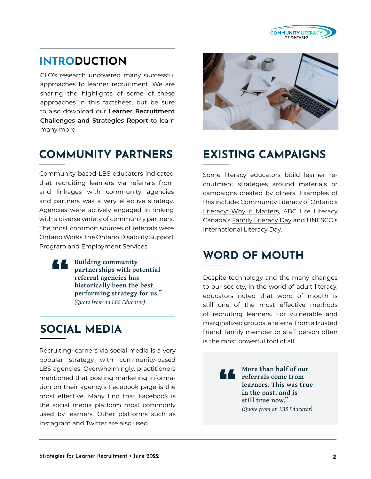

#### **INTRODUCTION**

CLO's research uncovered many successful approaches to learner recruitment. We are sharing the highlights of some of these approaches in this factsheet, but be sure to also download our **[Learner Recruitment](https://www.communityliteracyofontario.ca/wp/wp-content/uploads/Learner-Recruitment-Report-March-2022-FINAL.pdf)  [Challenges and Strategies Report](https://www.communityliteracyofontario.ca/wp/wp-content/uploads/Learner-Recruitment-Report-March-2022-FINAL.pdf)** to learn many more!

#### **COMMUNITY PARTNERS EXISTING CAMPAIGNS**

Community-based LBS educators indicated that recruiting learners via referrals from and linkages with community agencies and partners was a very effective strategy. Agencies were actively engaged in linking with a diverse variety of community partners. The most common sources of referrals were Ontario Works, the Ontario Disability Support Program and Employment Services.

**Building community partnerships with potential referral agencies has historically been the best performing strategy for us.**" *(Quote from an LBS Educator)* "<br>"<br>"

### **SOCIAL MEDIA**

Recruiting learners via social media is a very popular strategy with community-based LBS agencies. Overwhelmingly, practitioners mentioned that posting marketing information on their agency's Facebook page is the most effective. Many find that Facebook is the social media platform most commonly used by learners. Other platforms such as Instagram and Twitter are also used.



Some literacy educators build learner recruitment strategies around materials or campaigns created by others. Examples of this include: Community Literacy of Ontario's [Literacy: Why it Matters](https://www.communityliteracyofontario.ca/literacy-why-it-matters/), ABC Life Literacy Canada's [Family Literacy Day](https://abclifeliteracy.ca/all-programs/family-literacy-day/) and UNESCO's [International Literacy Day](https://en.unesco.org/commemorations/literacyday).

#### **WORD OF MOUTH**

Despite technology and the many changes to our society, in the world of adult literacy, educators noted that word of mouth is still one of the most effective methods of recruiting learners. For vulnerable and marginalized groups, a referral from a trusted friend, family member or staff person often is the most powerful tool of all.

> **More than half of our referrals come from learners. This was true in the past, and is still true now.**" *(Quote from an LBS Educator)* "<br>"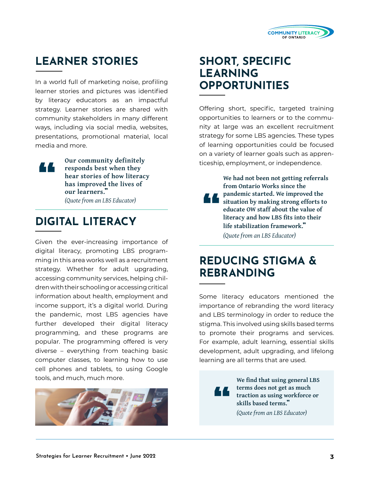

### **LEARNER STORIES SHORT, SPECIFIC**

In a world full of marketing noise, profiling learner stories and pictures was identified by literacy educators as an impactful strategy. Learner stories are shared with community stakeholders in many different ways, including via social media, websites, presentations, promotional material, local media and more.

**Our community definitely responds best when they hear stories of how literacy has improved the lives of our learners.**" "<br>"<br>"

## **DIGITAL LITERACY** *(Quote from an LBS Educator)* 1999 **1999**

Given the ever-increasing importance of digital literacy, promoting LBS programming in this area works well as a recruitment strategy. Whether for adult upgrading, accessing community services, helping children with their schooling or accessing critical information about health, employment and income support, it's a digital world. During the pandemic, most LBS agencies have further developed their digital literacy programming, and these programs are popular. The programming offered is very diverse – everything from teaching basic computer classes, to learning how to use cell phones and tablets, to using Google tools, and much, much more.



# **LEARNING OPPORTUNITIES**

Offering short, specific, targeted training opportunities to learners or to the community at large was an excellent recruitment strategy for some LBS agencies. These types of learning opportunities could be focused on a variety of learner goals such as apprenticeship, employment, or independence.

**We had not been not getting referrals from Ontario Works since the pandemic started. We improved the situation by making strong efforts to educate OW staff about the value of literacy and how LBS fits into their life stabilization framework.**" *(Quote from an LBS Educator)*

#### **REDUCING STIGMA & REBRANDING**

Some literacy educators mentioned the importance of rebranding the word literacy and LBS terminology in order to reduce the stigma. This involved using skills based terms to promote their programs and services. For example, adult learning, essential skills development, adult upgrading, and lifelong learning are all terms that are used.

> "<br>" **We find that using general LBS terms does not get as much traction as using workforce or skills based terms.**"

*(Quote from an LBS Educator)*